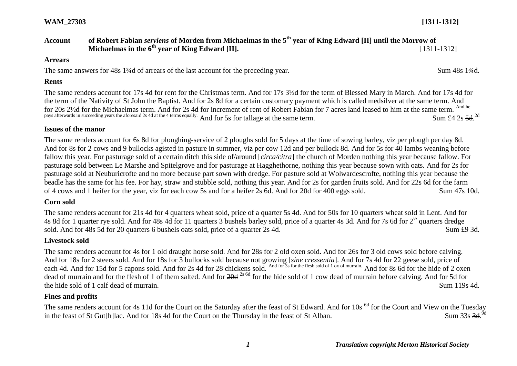# **Account of Robert Fabian** *serviens* **of Morden from Michaelmas in the 5th year of King Edward [II] until the Morrow of Michaelmas in the 6<sup>th</sup> vear of King Edward [II].** [1311-1312]

#### **Arrears**

The same answers for 48s 1<sup>3/4</sup>d of arrears of the last account for the preceding year. Sum 48s 1<sup>3/4</sup>d.

#### **Rents**

The same renders account for 17s 4d for rent for the Christmas term. And for 17s 3½d for the term of Blessed Mary in March. And for 17s 4d for the term of the Nativity of St John the Baptist. And for 2s 8d for a certain customary payment which is called medsilver at the same term. And for 20s 2½d for the Michaelmas term. And for 2s 4d for increment of rent of Robert Fabian for 7 acres land leased to him at the same term. And he pays afterwards in succeeding years the aforesaid 2s 4d at the 4 terms equally. And for 5s for tallage at the same term. Sum £4 2s  $5d$ . Sum £4 2s  $5d^{2d}$ 

#### **Issues of the manor**

The same renders account for 6s 8d for ploughing-service of 2 ploughs sold for 5 days at the time of sowing barley, viz per plough per day 8d. And for 8s for 2 cows and 9 bullocks agisted in pasture in summer, viz per cow 12d and per bullock 8d. And for 5s for 40 lambs weaning before fallow this year. For pasturage sold of a certain ditch this side of/around [*circa/citra*] the church of Morden nothing this year because fallow. For pasturage sold between Le Marshe and Spitelgrove and for pasturage at Hagghethorne, nothing this year because sown with oats. And for 2s for pasturage sold at Neuburicrofte and no more because part sown with dredge. For pasture sold at Wolwardescrofte, nothing this year because the beadle has the same for his fee. For hay, straw and stubble sold, nothing this year. And for 2s for garden fruits sold. And for 22s 6d for the farm of 4 cows and 1 heifer for the year, viz for each cow 5s and for a heifer 2s 6d. And for 20d for 400 eggs sold. Sum 47s 10d.

#### **Corn sold**

The same renders account for 21s 4d for 4 quarters wheat sold, price of a quarter 5s 4d. And for 50s for 10 quarters wheat sold in Lent. And for 4s 8d for 1 quarter rye sold. And for 48s 4d for 11 quarters 3 bushels barley sold, price of a quarter 4s 3d. And for 7s 6d for  $2^{\frac{1}{2}}$  quarters dredge sold. And for 48s 5d for 20 quarters 6 bushels oats sold, price of a quarter 2s 4d. Sum £9 3d.

#### **Livestock sold**

The same renders account for 4s for 1 old draught horse sold. And for 28s for 2 old oxen sold. And for 26s for 3 old cows sold before calving. And for 18s for 2 steers sold. And for 18s for 3 bullocks sold because not growing [*sine cressentia*]. And for 7s 4d for 22 geese sold, price of each 4d. And for 15d for 5 capons sold. And for 2s 4d for 28 chickens sold. And for 3s for the flesh sold of 1 ox of murrain. And for 8s 6d for the hide of 2 oxen dead of murrain and for the flesh of 1 of them salted. And for  $20d^{2s}$  for the hide sold of 1 cow dead of murrain before calving. And for 5d for the hide sold of 1 calf dead of murrain. Sum 119s 4d.

## **Fines and profits**

The same renders account for 4s 11d for the Court on the Saturday after the feast of St Edward. And for 10s <sup>6d</sup> for the Court and View on the Tuesday in the feast of St Gut[h]lac. And for 18s 4d for the Court on the Thursday in the feast of St Alban. Sum  $33s$  3d  $9d$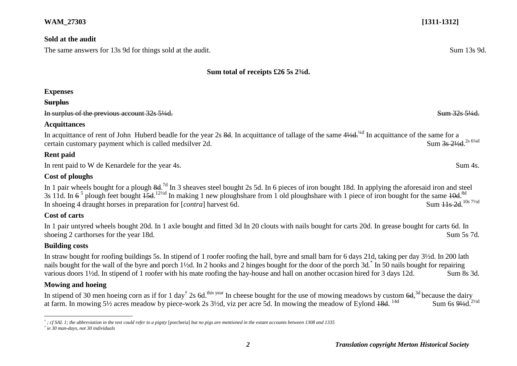#### **Sold at the audit**

The same answers for 13s 9d for things sold at the audit. Sum 13s 9d.

#### **Sum total of receipts £26 5s 2¾d.**

## **Expenses**

#### **Surplus**

In surplus of the previous account  $32s\,5\frac{1}{4}d$ .

#### **Acquittances**

In acquittance of rent of John Huberd beadle for the year 2s  $8d$ . In acquittance of tallage of the same  $4\frac{1}{4}$  In acquittance of the same for a certain customary payment which is called medsilver 2d. Sum 3s 21/2d <sup>2s 61/4d</sup>

## **Rent paid**

In rent paid to W de Kenardele for the year 4s. Sum 4s.

# **Cost of ploughs**

In 1 pair wheels bought for a plough  $8d^{7d}$  In 3 sheaves steel bought 2s 5d. In 6 pieces of iron bought 18d. In applying the aforesaid iron and steel 3s 11d. In  $6^5$  plough feet bought  $\frac{15d}{12}$  In making 1 new ploughshare from 1 old ploughshare with 1 piece of iron bought for the same  $\frac{10d}{8}$ .<sup>8d</sup> In shoeing 4 draught horses in preparation for [*contra*] harvest 6d. Sum 11s 2d 10s 71/2d

# **Cost of carts**

In 1 pair untyred wheels bought 20d. In 1 axle bought and fitted 3d In 20 clouts with nails bought for carts 20d. In grease bought for carts 6d. In shoeing 2 carthorses for the year 18d. Sum 5s 7d.

## **Building costs**

 $\overline{a}$ 

In straw bought for roofing buildings 5s. In stipend of 1 roofer roofing the hall, byre and small barn for 6 days 21d, taking per day 3½d. In 200 lath nails bought for the wall of the byre and porch 1½d. In 2 hooks and 2 hinges bought for the door of the porch 3d.\* In 50 nails bought for repairing various doors 1<sup>1/</sup>2d. In stipend of 1 roofer with his mate roofing the hay-house and hall on another occasion hired for 3 days 12d. Sum 8s 3d.

## **Mowing and hoeing**

In stipend of 30 men hoeing corn as if for 1 day<sup>†</sup> 2s 6d.<sup>this year</sup> In cheese bought for the use of mowing meadows by custom  $6d$ ,<sup>3d</sup> because the dairy at farm. In mowing 5½ acres meadow by piece-work 2s 3½d, viz per acre 5d. In mowing the meadow of Eylond 18d. Sum 6s  $9\frac{1}{2}d$ .<sup>2½d</sup>

*<sup>\*</sup> ; cf SAL 1; the abbreviation in the text could refer to a pigsty* [porcheria] *but no pigs are mentioned in the extant accounts between 1308 and 1335*

*<sup>†</sup> ie 30 man-days, not 30 individuals*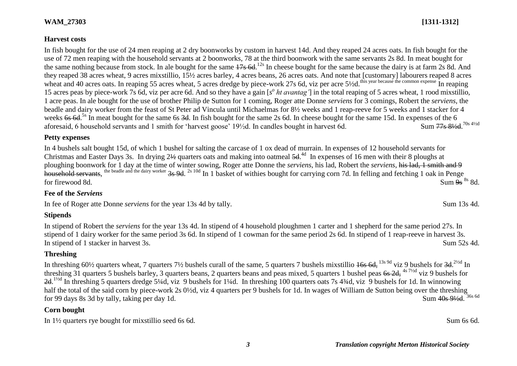### **Harvest costs**

In fish bought for the use of 24 men reaping at 2 dry boonworks by custom in harvest 14d. And they reaped 24 acres oats. In fish bought for the use of 72 men reaping with the household servants at 2 boonworks, 78 at the third boonwork with the same servants 2s 8d. In meat bought for the same nothing because from stock. In ale bought for the same  $17s$  6d.<sup>12s</sup> In cheese bought for the same because the dairy is at farm 2s 8d. And they reaped 38 acres wheat, 9 acres mixstillio, 15½ acres barley, 4 acres beans, 26 acres oats. And note that [customary] labourers reaped 8 acres wheat and 40 acres oats. In reaping 55 acres wheat, 5 acres dredge by piece-work 27s 6d, viz per acre 5½d.<sup>this year because the common expense</sup> In reaping 15 acres peas by piece-work 7s 6d, viz per acre 6d. And so they have a gain [s<sup>o</sup> ht avantag'] in the total reaping of 5 acres wheat, 1 rood mixstillio, 1 acre peas. In ale bought for the use of brother Philip de Sutton for 1 coming, Roger atte Donne *serviens* for 3 comings, Robert the *serviens*, the beadle and dairy worker from the feast of St Peter ad Vincula until Michaelmas for 8½ weeks and 1 reap-reeve for 5 weeks and 1 stacker for 4 weeks 6s 6d.<sup>5s</sup> In meat bought for the same 6s 3d. In fish bought for the same 2s 6d. In cheese bought for the same 15d. In expenses of the 6 aforesaid, 6 household servants and 1 smith for 'harvest goose' 19½d. In candles bought in harvest 6d. Sum 77s 81⁄2d. 70s 41⁄2d

#### **Petty expenses**

In 4 bushels salt bought 15d, of which 1 bushel for salting the carcase of 1 ox dead of murrain. In expenses of 12 household servants for Christmas and Easter Days 3s. In drying 2½ quarters oats and making into oatmeal 5d.<sup>4d</sup> In expenses of 16 men with their 8 ploughs at ploughing boonwork for 1 day at the time of winter sowing, Roger atte Donne the *serviens*, his lad, Robert the *serviens*, his lad, 1 smith and 9 household servants, <sup>the beadle and the dairy worker</sup> 3s 9d. <sup>2s 10d</sup> In 1 basket of withies bought for carrying corn 7d. In felling and fetching 1 oak in Penge for firewood 8d. Sum  $9s^{8s}$  8d.

## **Fee of the** *Serviens*

In fee of Roger atte Donne *serviens* for the year 13s 4d by tally. Sum 13s 4d.

## **Stipends**

In stipend of Robert the *serviens* for the year 13s 4d. In stipend of 4 household ploughmen 1 carter and 1 shepherd for the same period 27s. In stipend of 1 dairy worker for the same period 3s 6d. In stipend of 1 cowman for the same period 2s 6d. In stipend of 1 reap-reeve in harvest 3s. In stipend of 1 stacker in harvest 3s. Sum 52s 4d.

# **Threshing**

In threshing 60½ quarters wheat, 7 quarters 7½ bushels curall of the same, 5 quarters 7 bushels mixstillio  $16s$  6d,  $^{13s}$  9d viz 9 bushels for  $3d$ .  $^{2\frac{1}{2}d}$  In threshing 31 quarters 5 bushels barley, 3 quarters beans, 2 quarters beans and peas mixed, 5 quarters 1 bushel peas 6s 2d, <sup>4s 71/2d</sup> viz 9 bushels for  $2d$ .<sup>1½d</sup> In threshing 5 quarters dredge 5¼d, viz 9 bushels for 1¼d. In threshing 100 quarters oats 7s 4¾d, viz 9 bushels for 1d. In winnowing half the total of the said corn by piece-work 2s 0½d, viz 4 quarters per 9 bushels for 1d. In wages of William de Sutton being over the threshing for 99 days 8s 3d by tally, taking per day 1d. Sum 40s 91/2d 36s 6d

## **Corn bought**

In  $1\frac{1}{2}$  quarters rye bought for mixstillio seed 6s 6d. Sum 6s 6d.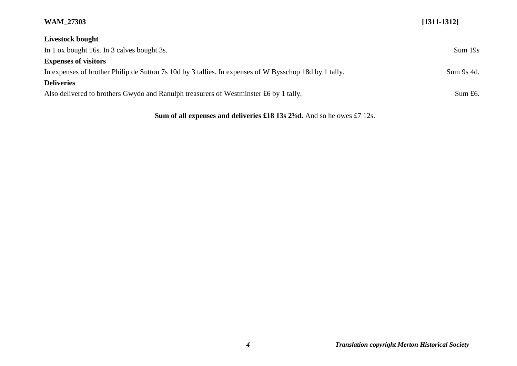| Livestock bought                                                                                       |            |
|--------------------------------------------------------------------------------------------------------|------------|
| In 1 ox bought 16s. In 3 calves bought 3s.                                                             | Sum 19s    |
| <b>Expenses of visitors</b>                                                                            |            |
| In expenses of brother Philip de Sutton 7s 10d by 3 tallies. In expenses of W Bysschop 18d by 1 tally. | Sum 9s 4d. |
| <b>Deliveries</b>                                                                                      |            |
| Also delivered to brothers Gwydo and Ranulph treasurers of Westminster £6 by 1 tally.                  | Sum $£6.$  |

Sum of all expenses and deliveries £18 13s 2<sup>3</sup>/<sub>4</sub>d. And so he owes £7 12s.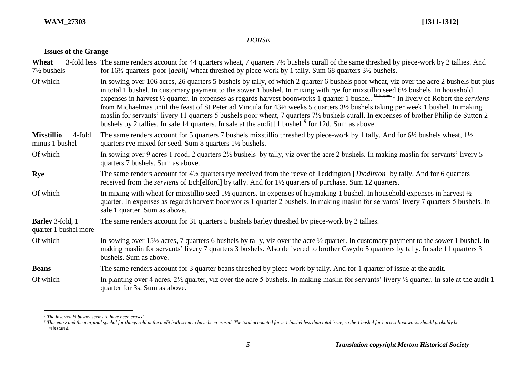## *DORSE*

## **Issues of the Grange**

| Wheat<br>$7\frac{1}{2}$ bushels                  | 3-fold less The same renders account for 44 quarters wheat, 7 quarters 7½ bushels curall of the same threshed by piece-work by 2 tallies. And<br>for 16 <sup>1</sup> / <sub>2</sub> quarters poor [ <i>debil</i> ] wheat threshed by piece-work by 1 tally. Sum 68 quarters 3 <sup>1</sup> / <sub>2</sub> bushels.                                                                                                                                                                                                                                                                                                                                                                                                                                                                                                                                   |
|--------------------------------------------------|------------------------------------------------------------------------------------------------------------------------------------------------------------------------------------------------------------------------------------------------------------------------------------------------------------------------------------------------------------------------------------------------------------------------------------------------------------------------------------------------------------------------------------------------------------------------------------------------------------------------------------------------------------------------------------------------------------------------------------------------------------------------------------------------------------------------------------------------------|
| Of which                                         | In sowing over 106 acres, 26 quarters 5 bushels by tally, of which 2 quarter 6 bushels poor wheat, viz over the acre 2 bushels but plus<br>in total 1 bushel. In customary payment to the sower 1 bushel. In mixing with rye for mixstillio seed 6½ bushels. In household<br>expenses in harvest $\frac{1}{2}$ quarter. In expenses as regards harvest boonworks 1 quarter + bushed. $\frac{1}{2}$ bushed $\frac{1}{4}$ In livery of Robert the serviens<br>from Michaelmas until the feast of St Peter ad Vincula for 43½ weeks 5 quarters 3½ bushels taking per week 1 bushel. In making<br>maslin for servants' livery 11 quarters 5 bushels poor wheat, 7 quarters 7½ bushels curall. In expenses of brother Philip de Sutton 2<br>bushels by 2 tallies. In sale 14 quarters. In sale at the audit $[1 \text{ bushel}]^8$ for 12d. Sum as above. |
| <b>Mixstillio</b><br>4-fold<br>minus 1 bushel    | The same renders account for 5 quarters 7 bushels mixstillio threshed by piece-work by 1 tally. And for 6½ bushels wheat, 1½<br>quarters rye mixed for seed. Sum 8 quarters 1½ bushels.                                                                                                                                                                                                                                                                                                                                                                                                                                                                                                                                                                                                                                                              |
| Of which                                         | In sowing over 9 acres 1 rood, 2 quarters 2½ bushels by tally, viz over the acre 2 bushels. In making maslin for servants' livery 5<br>quarters 7 bushels. Sum as above.                                                                                                                                                                                                                                                                                                                                                                                                                                                                                                                                                                                                                                                                             |
| Rye                                              | The same renders account for 4½ quarters rye received from the reeve of Teddington [ <i>Thodinton</i> ] by tally. And for 6 quarters<br>received from the <i>serviens</i> of Ech[elford] by tally. And for 1 <sup>1</sup> / <sub>2</sub> quarters of purchase. Sum 12 quarters.                                                                                                                                                                                                                                                                                                                                                                                                                                                                                                                                                                      |
| Of which                                         | In mixing with wheat for mixstillio seed $1\frac{1}{2}$ quarters. In expenses of haymaking 1 bushel. In household expenses in harvest $\frac{1}{2}$<br>quarter. In expenses as regards harvest boonworks 1 quarter 2 bushels. In making maslin for servants' livery 7 quarters 5 bushels. In<br>sale 1 quarter. Sum as above.                                                                                                                                                                                                                                                                                                                                                                                                                                                                                                                        |
| <b>Barley</b> 3-fold, 1<br>quarter 1 bushel more | The same renders account for 31 quarters 5 bushels barley threshed by piece-work by 2 tallies.                                                                                                                                                                                                                                                                                                                                                                                                                                                                                                                                                                                                                                                                                                                                                       |
| Of which                                         | In sowing over $15\frac{1}{2}$ acres, 7 quarters 6 bushels by tally, viz over the acre $\frac{1}{2}$ quarter. In customary payment to the sower 1 bushel. In<br>making maslin for servants' livery 7 quarters 3 bushels. Also delivered to brother Gwydo 5 quarters by tally. In sale 11 quarters 3<br>bushels. Sum as above.                                                                                                                                                                                                                                                                                                                                                                                                                                                                                                                        |
| <b>Beans</b>                                     | The same renders account for 3 quarter beans threshed by piece-work by tally. And for 1 quarter of issue at the audit.                                                                                                                                                                                                                                                                                                                                                                                                                                                                                                                                                                                                                                                                                                                               |
| Of which                                         | In planting over 4 acres, $2\frac{1}{2}$ quarter, viz over the acre 5 bushels. In making maslin for servants' livery $\frac{1}{2}$ quarter. In sale at the audit 1<br>quarter for 3s. Sum as above.                                                                                                                                                                                                                                                                                                                                                                                                                                                                                                                                                                                                                                                  |

 *‡ The inserted ½ bushel seems to have been erased.*

 ${}^{\$}$  This entry and the marginal symbol for things sold at the audit both seem to have been erased. The total accounted for is 1 bushel less than total issue, so the 1 bushel for harvest boonworks should probably be *reinstated.*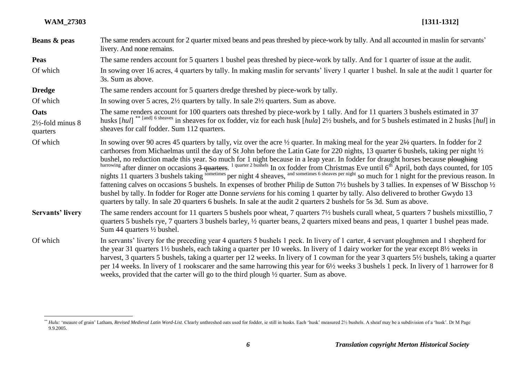$\overline{a}$ 

| Beans & peas                                     | The same renders account for 2 quarter mixed beans and peas threshed by piece-work by tally. And all accounted in maslin for servants'<br>livery. And none remains.                                                                                                                                                                                                                                                                                                                                                                                                                                                                                                                                                                                                                                                                                                                                                                                   |
|--------------------------------------------------|-------------------------------------------------------------------------------------------------------------------------------------------------------------------------------------------------------------------------------------------------------------------------------------------------------------------------------------------------------------------------------------------------------------------------------------------------------------------------------------------------------------------------------------------------------------------------------------------------------------------------------------------------------------------------------------------------------------------------------------------------------------------------------------------------------------------------------------------------------------------------------------------------------------------------------------------------------|
| <b>Peas</b>                                      | The same renders account for 5 quarters 1 bushel peas threshed by piece-work by tally. And for 1 quarter of issue at the audit.                                                                                                                                                                                                                                                                                                                                                                                                                                                                                                                                                                                                                                                                                                                                                                                                                       |
| Of which                                         | In sowing over 16 acres, 4 quarters by tally. In making maslin for servants' livery 1 quarter 1 bushel. In sale at the audit 1 quarter for<br>3s. Sum as above.                                                                                                                                                                                                                                                                                                                                                                                                                                                                                                                                                                                                                                                                                                                                                                                       |
| <b>Dredge</b>                                    | The same renders account for 5 quarters dredge threshed by piece-work by tally.                                                                                                                                                                                                                                                                                                                                                                                                                                                                                                                                                                                                                                                                                                                                                                                                                                                                       |
| Of which                                         | In sowing over 5 acres, $2\frac{1}{2}$ quarters by tally. In sale $2\frac{1}{2}$ quarters. Sum as above.                                                                                                                                                                                                                                                                                                                                                                                                                                                                                                                                                                                                                                                                                                                                                                                                                                              |
| Oats<br>$2\frac{1}{2}$ -fold minus 8<br>quarters | The same renders account for 100 quarters oats threshed by piece-work by 1 tally. And for 11 quarters 3 bushels estimated in 37<br>husks [hul] <sup>** [and] 6 sheaves</sup> in sheaves for ox fodder, viz for each husk [hula] 2½ bushels, and for 5 bushels estimated in 2 husks [hul] in<br>sheaves for calf fodder. Sum 112 quarters.                                                                                                                                                                                                                                                                                                                                                                                                                                                                                                                                                                                                             |
| Of which                                         | In sowing over 90 acres 45 quarters by tally, viz over the acre $\frac{1}{2}$ quarter. In making meal for the year $2\frac{1}{2}$ quarters. In fodder for 2<br>carthorses from Michaelmas until the day of St John before the Latin Gate for 220 nights, 13 quarter 6 bushels, taking per night 1/2<br>bushel, no reduction made this year. So much for 1 night because in a leap year. In fodder for draught horses because ploughing<br>harrowing after dinner on occasions 3 quarters. <sup>1 quarter 2 bushels</sup> In ox fodder from Christm<br>fattening calves on occasions 5 bushels. In expenses of brother Philip de Sutton 7½ bushels by 3 tallies. In expenses of W Bisschop ½<br>bushel by tally. In fodder for Roger atte Donne serviens for his coming 1 quarter by tally. Also delivered to brother Gwydo 13<br>quarters by tally. In sale 20 quarters 6 bushels. In sale at the audit 2 quarters 2 bushels for 5s 3d. Sum as above. |
| <b>Servants' livery</b>                          | The same renders account for 11 quarters 5 bushels poor wheat, 7 quarters 7½ bushels curall wheat, 5 quarters 7 bushels mixstillio, 7<br>quarters 5 bushels rye, 7 quarters 3 bushels barley, 1/2 quarter beans, 2 quarters mixed beans and peas, 1 quarter 1 bushel peas made.<br>Sum 44 quarters $\frac{1}{2}$ bushel.                                                                                                                                                                                                                                                                                                                                                                                                                                                                                                                                                                                                                              |
| Of which                                         | In servants' livery for the preceding year 4 quarters 5 bushels 1 peck. In livery of 1 carter, 4 servant ploughmen and 1 shepherd for<br>the year 31 quarters 1 <sup>1</sup> / <sub>2</sub> bushels, each taking a quarter per 10 weeks. In livery of 1 dairy worker for the year except 8 <sup>1</sup> / <sub>2</sub> weeks in<br>harvest, 3 quarters 5 bushels, taking a quarter per 12 weeks. In livery of 1 cowman for the year 3 quarters 5½ bushels, taking a quarter<br>per 14 weeks. In livery of 1 rookscarer and the same harrowing this year for 6½ weeks 3 bushels 1 peck. In livery of 1 harrower for 8<br>weeks, provided that the carter will go to the third plough 1/2 quarter. Sum as above.                                                                                                                                                                                                                                        |

<sup>\*\*</sup> Hulu: 'meaure of grain' Latham, Revised Medieval Latin Word-List. Clearly unthreshed oats used for fodder, ie still in husks. Each 'husk' measured 21/2 bushels. A sheaf may be a subdivision of a 'husk'. Dr M Page 9.9.2005.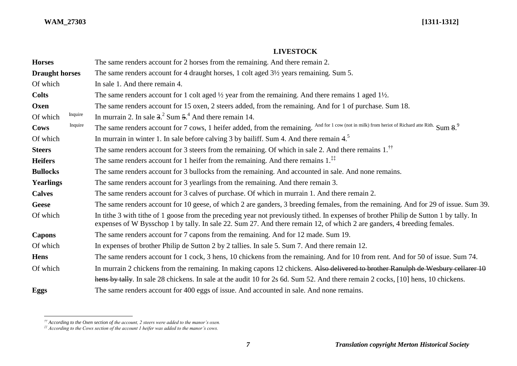$\overline{a}$ 

# **LIVESTOCK**

| <b>Horses</b>         |         | The same renders account for 2 horses from the remaining. And there remain 2.                                                                                                                                                                                     |
|-----------------------|---------|-------------------------------------------------------------------------------------------------------------------------------------------------------------------------------------------------------------------------------------------------------------------|
| <b>Draught horses</b> |         | The same renders account for 4 draught horses, 1 colt aged 3½ years remaining. Sum 5.                                                                                                                                                                             |
| Of which              |         | In sale 1. And there remain 4.                                                                                                                                                                                                                                    |
| <b>Colts</b>          |         | The same renders account for 1 colt aged $\frac{1}{2}$ year from the remaining. And there remains 1 aged 1 $\frac{1}{2}$ .                                                                                                                                        |
| Oxen                  |         | The same renders account for 15 oxen, 2 steers added, from the remaining. And for 1 of purchase. Sum 18.                                                                                                                                                          |
| Of which              | Inquire | In murrain 2. In sale $32$ Sum $54$ And there remain 14.                                                                                                                                                                                                          |
| Cows                  | Inquire | The same renders account for 7 cows, 1 heifer added, from the remaining. And for 1 cow (not in milk) from heriot of Richard atte Rith. Sum 8.9                                                                                                                    |
| Of which              |         | In murrain in winter 1. In sale before calving 3 by bailiff. Sum 4. And there remain $45$                                                                                                                                                                         |
| <b>Steers</b>         |         | The same renders account for 3 steers from the remaining. Of which in sale 2. And there remains $1.^{\uparrow\uparrow}$                                                                                                                                           |
| <b>Heifers</b>        |         | The same renders account for 1 heifer from the remaining. And there remains $1.^{\ddagger\ddagger}$                                                                                                                                                               |
| <b>Bullocks</b>       |         | The same renders account for 3 bullocks from the remaining. And accounted in sale. And none remains.                                                                                                                                                              |
| <b>Yearlings</b>      |         | The same renders account for 3 yearlings from the remaining. And there remain 3.                                                                                                                                                                                  |
| <b>Calves</b>         |         | The same renders account for 3 calves of purchase. Of which in murrain 1. And there remain 2.                                                                                                                                                                     |
| <b>Geese</b>          |         | The same renders account for 10 geese, of which 2 are ganders, 3 breeding females, from the remaining. And for 29 of issue. Sum 39.                                                                                                                               |
| Of which              |         | In tithe 3 with tithe of 1 goose from the preceding year not previously tithed. In expenses of brother Philip de Sutton 1 by tally. In<br>expenses of W Bysschop 1 by tally. In sale 22. Sum 27. And there remain 12, of which 2 are ganders, 4 breeding females. |
| <b>Capons</b>         |         | The same renders account for 7 capons from the remaining. And for 12 made. Sum 19.                                                                                                                                                                                |
| Of which              |         | In expenses of brother Philip de Sutton 2 by 2 tallies. In sale 5. Sum 7. And there remain 12.                                                                                                                                                                    |
| <b>Hens</b>           |         | The same renders account for 1 cock, 3 hens, 10 chickens from the remaining. And for 10 from rent. And for 50 of issue. Sum 74.                                                                                                                                   |
| Of which              |         | In murrain 2 chickens from the remaining. In making capons 12 chickens. Also delivered to brother Ranulph de Wesbury cellarer 10                                                                                                                                  |
|                       |         | hens by tally. In sale 28 chickens. In sale at the audit 10 for 2s 6d. Sum 52. And there remain 2 cocks, [10] hens, 10 chickens.                                                                                                                                  |
| <b>Eggs</b>           |         | The same renders account for 400 eggs of issue. And accounted in sale. And none remains.                                                                                                                                                                          |

*<sup>††</sup> According to the Oxen section of the account, 2 steers were added to the manor's oxen.*

*<sup>‡‡</sup> According to the Cows section of the account 1 heifer was added to the manor's cows.*